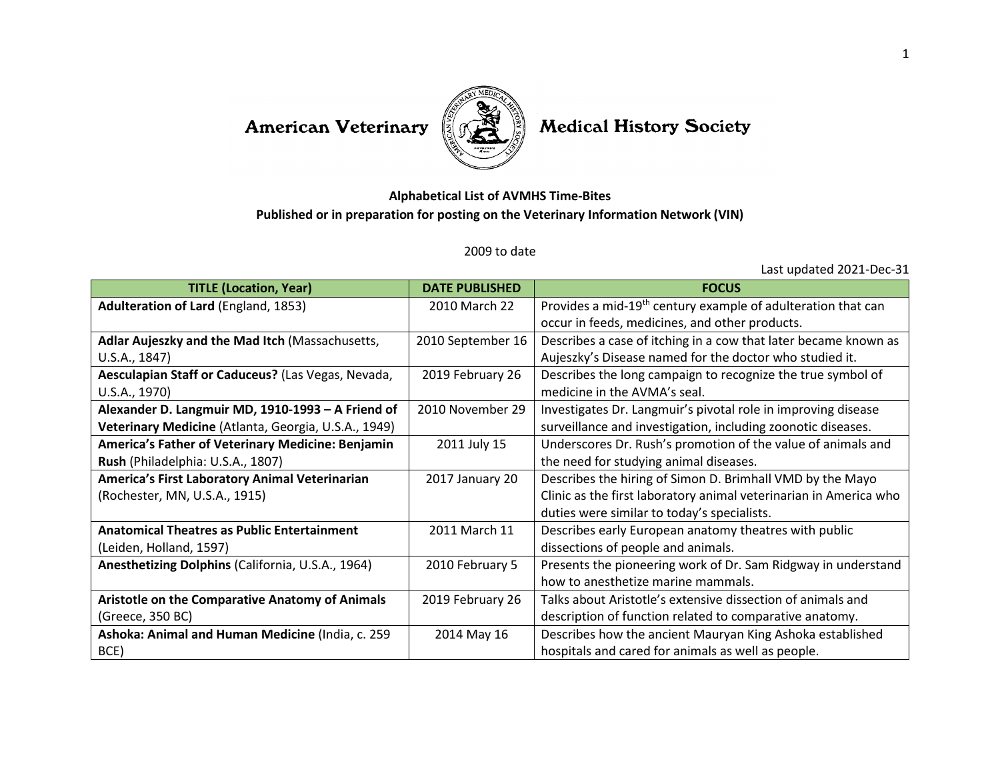## American Veterinary



## **Medical History Society**

## **Alphabetical List of AVMHS Time-Bites Published or in preparation for posting on the Veterinary Information Network (VIN)**

## 2009 to date

Last updated 2021-Dec-31

| <b>TITLE (Location, Year)</b>                        | <b>DATE PUBLISHED</b> | <b>FOCUS</b>                                                             |
|------------------------------------------------------|-----------------------|--------------------------------------------------------------------------|
| Adulteration of Lard (England, 1853)                 | 2010 March 22         | Provides a mid-19 <sup>th</sup> century example of adulteration that can |
|                                                      |                       | occur in feeds, medicines, and other products.                           |
| Adlar Aujeszky and the Mad Itch (Massachusetts,      | 2010 September 16     | Describes a case of itching in a cow that later became known as          |
| U.S.A., 1847)                                        |                       | Aujeszky's Disease named for the doctor who studied it.                  |
| Aesculapian Staff or Caduceus? (Las Vegas, Nevada,   | 2019 February 26      | Describes the long campaign to recognize the true symbol of              |
| U.S.A., 1970)                                        |                       | medicine in the AVMA's seal.                                             |
| Alexander D. Langmuir MD, 1910-1993 - A Friend of    | 2010 November 29      | Investigates Dr. Langmuir's pivotal role in improving disease            |
| Veterinary Medicine (Atlanta, Georgia, U.S.A., 1949) |                       | surveillance and investigation, including zoonotic diseases.             |
| America's Father of Veterinary Medicine: Benjamin    | 2011 July 15          | Underscores Dr. Rush's promotion of the value of animals and             |
| Rush (Philadelphia: U.S.A., 1807)                    |                       | the need for studying animal diseases.                                   |
| America's First Laboratory Animal Veterinarian       | 2017 January 20       | Describes the hiring of Simon D. Brimhall VMD by the Mayo                |
| (Rochester, MN, U.S.A., 1915)                        |                       | Clinic as the first laboratory animal veterinarian in America who        |
|                                                      |                       | duties were similar to today's specialists.                              |
| <b>Anatomical Theatres as Public Entertainment</b>   | 2011 March 11         | Describes early European anatomy theatres with public                    |
| (Leiden, Holland, 1597)                              |                       | dissections of people and animals.                                       |
| Anesthetizing Dolphins (California, U.S.A., 1964)    | 2010 February 5       | Presents the pioneering work of Dr. Sam Ridgway in understand            |
|                                                      |                       | how to anesthetize marine mammals.                                       |
| Aristotle on the Comparative Anatomy of Animals      | 2019 February 26      | Talks about Aristotle's extensive dissection of animals and              |
| (Greece, 350 BC)                                     |                       | description of function related to comparative anatomy.                  |
| Ashoka: Animal and Human Medicine (India, c. 259     | 2014 May 16           | Describes how the ancient Mauryan King Ashoka established                |
| BCE)                                                 |                       | hospitals and cared for animals as well as people.                       |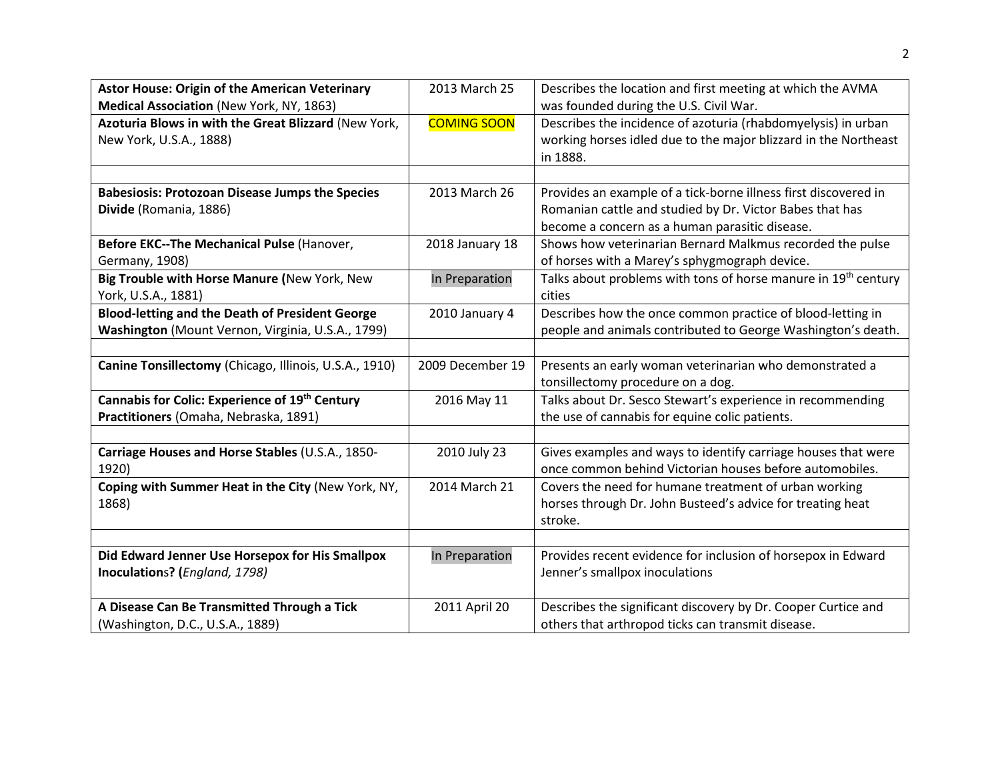| <b>Astor House: Origin of the American Veterinary</b>  | 2013 March 25      | Describes the location and first meeting at which the AVMA      |
|--------------------------------------------------------|--------------------|-----------------------------------------------------------------|
| Medical Association (New York, NY, 1863)               |                    | was founded during the U.S. Civil War.                          |
| Azoturia Blows in with the Great Blizzard (New York,   | <b>COMING SOON</b> | Describes the incidence of azoturia (rhabdomyelysis) in urban   |
| New York, U.S.A., 1888)                                |                    | working horses idled due to the major blizzard in the Northeast |
|                                                        |                    | in 1888.                                                        |
|                                                        |                    |                                                                 |
| <b>Babesiosis: Protozoan Disease Jumps the Species</b> | 2013 March 26      | Provides an example of a tick-borne illness first discovered in |
| Divide (Romania, 1886)                                 |                    | Romanian cattle and studied by Dr. Victor Babes that has        |
|                                                        |                    | become a concern as a human parasitic disease.                  |
| Before EKC--The Mechanical Pulse (Hanover,             | 2018 January 18    | Shows how veterinarian Bernard Malkmus recorded the pulse       |
| Germany, 1908)                                         |                    | of horses with a Marey's sphygmograph device.                   |
| Big Trouble with Horse Manure (New York, New           | In Preparation     | Talks about problems with tons of horse manure in 19th century  |
| York, U.S.A., 1881)                                    |                    | cities                                                          |
| <b>Blood-letting and the Death of President George</b> | 2010 January 4     | Describes how the once common practice of blood-letting in      |
| Washington (Mount Vernon, Virginia, U.S.A., 1799)      |                    | people and animals contributed to George Washington's death.    |
|                                                        |                    |                                                                 |
| Canine Tonsillectomy (Chicago, Illinois, U.S.A., 1910) | 2009 December 19   | Presents an early woman veterinarian who demonstrated a         |
|                                                        |                    | tonsillectomy procedure on a dog.                               |
| Cannabis for Colic: Experience of 19th Century         | 2016 May 11        | Talks about Dr. Sesco Stewart's experience in recommending      |
| Practitioners (Omaha, Nebraska, 1891)                  |                    | the use of cannabis for equine colic patients.                  |
|                                                        |                    |                                                                 |
| Carriage Houses and Horse Stables (U.S.A., 1850-       | 2010 July 23       | Gives examples and ways to identify carriage houses that were   |
| 1920)                                                  |                    | once common behind Victorian houses before automobiles.         |
| Coping with Summer Heat in the City (New York, NY,     | 2014 March 21      | Covers the need for humane treatment of urban working           |
| 1868)                                                  |                    | horses through Dr. John Busteed's advice for treating heat      |
|                                                        |                    | stroke.                                                         |
|                                                        |                    |                                                                 |
| Did Edward Jenner Use Horsepox for His Smallpox        | In Preparation     | Provides recent evidence for inclusion of horsepox in Edward    |
| Inoculations? (England, 1798)                          |                    | Jenner's smallpox inoculations                                  |
|                                                        |                    |                                                                 |
| A Disease Can Be Transmitted Through a Tick            | 2011 April 20      | Describes the significant discovery by Dr. Cooper Curtice and   |
| (Washington, D.C., U.S.A., 1889)                       |                    | others that arthropod ticks can transmit disease.               |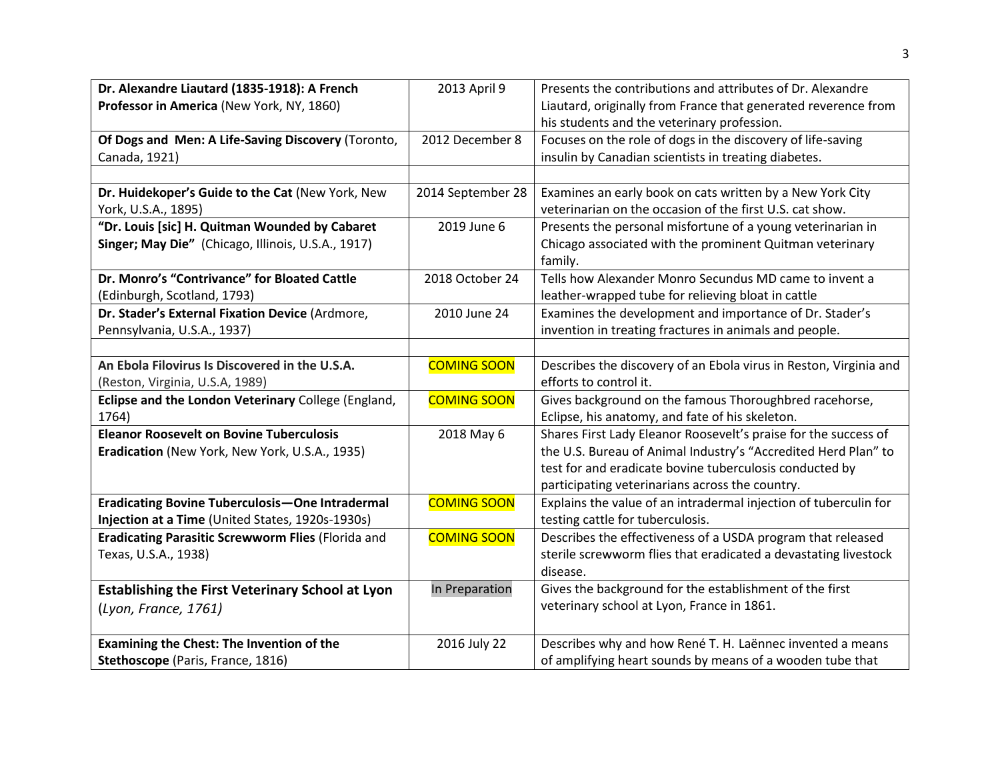| Dr. Alexandre Liautard (1835-1918): A French<br>Professor in America (New York, NY, 1860)                  | 2013 April 9       | Presents the contributions and attributes of Dr. Alexandre<br>Liautard, originally from France that generated reverence from<br>his students and the veterinary profession.                                                                     |
|------------------------------------------------------------------------------------------------------------|--------------------|-------------------------------------------------------------------------------------------------------------------------------------------------------------------------------------------------------------------------------------------------|
| Of Dogs and Men: A Life-Saving Discovery (Toronto,<br>Canada, 1921)                                        | 2012 December 8    | Focuses on the role of dogs in the discovery of life-saving<br>insulin by Canadian scientists in treating diabetes.                                                                                                                             |
|                                                                                                            |                    |                                                                                                                                                                                                                                                 |
| Dr. Huidekoper's Guide to the Cat (New York, New<br>York, U.S.A., 1895)                                    | 2014 September 28  | Examines an early book on cats written by a New York City<br>veterinarian on the occasion of the first U.S. cat show.                                                                                                                           |
| "Dr. Louis [sic] H. Quitman Wounded by Cabaret<br>Singer; May Die" (Chicago, Illinois, U.S.A., 1917)       | 2019 June 6        | Presents the personal misfortune of a young veterinarian in<br>Chicago associated with the prominent Quitman veterinary<br>family.                                                                                                              |
| Dr. Monro's "Contrivance" for Bloated Cattle<br>(Edinburgh, Scotland, 1793)                                | 2018 October 24    | Tells how Alexander Monro Secundus MD came to invent a<br>leather-wrapped tube for relieving bloat in cattle                                                                                                                                    |
| Dr. Stader's External Fixation Device (Ardmore,<br>Pennsylvania, U.S.A., 1937)                             | 2010 June 24       | Examines the development and importance of Dr. Stader's<br>invention in treating fractures in animals and people.                                                                                                                               |
|                                                                                                            |                    |                                                                                                                                                                                                                                                 |
| An Ebola Filovirus Is Discovered in the U.S.A.<br>(Reston, Virginia, U.S.A, 1989)                          | <b>COMING SOON</b> | Describes the discovery of an Ebola virus in Reston, Virginia and<br>efforts to control it.                                                                                                                                                     |
| Eclipse and the London Veterinary College (England,<br>1764)                                               | <b>COMING SOON</b> | Gives background on the famous Thoroughbred racehorse,<br>Eclipse, his anatomy, and fate of his skeleton.                                                                                                                                       |
| <b>Eleanor Roosevelt on Bovine Tuberculosis</b><br>Eradication (New York, New York, U.S.A., 1935)          | 2018 May 6         | Shares First Lady Eleanor Roosevelt's praise for the success of<br>the U.S. Bureau of Animal Industry's "Accredited Herd Plan" to<br>test for and eradicate bovine tuberculosis conducted by<br>participating veterinarians across the country. |
| <b>Eradicating Bovine Tuberculosis-One Intradermal</b><br>Injection at a Time (United States, 1920s-1930s) | <b>COMING SOON</b> | Explains the value of an intradermal injection of tuberculin for<br>testing cattle for tuberculosis.                                                                                                                                            |
| Eradicating Parasitic Screwworm Flies (Florida and<br>Texas, U.S.A., 1938)                                 | <b>COMING SOON</b> | Describes the effectiveness of a USDA program that released<br>sterile screwworm flies that eradicated a devastating livestock<br>disease.                                                                                                      |
| <b>Establishing the First Veterinary School at Lyon</b><br>(Lyon, France, 1761)                            | In Preparation     | Gives the background for the establishment of the first<br>veterinary school at Lyon, France in 1861.                                                                                                                                           |
| Examining the Chest: The Invention of the<br>Stethoscope (Paris, France, 1816)                             | 2016 July 22       | Describes why and how René T. H. Laënnec invented a means<br>of amplifying heart sounds by means of a wooden tube that                                                                                                                          |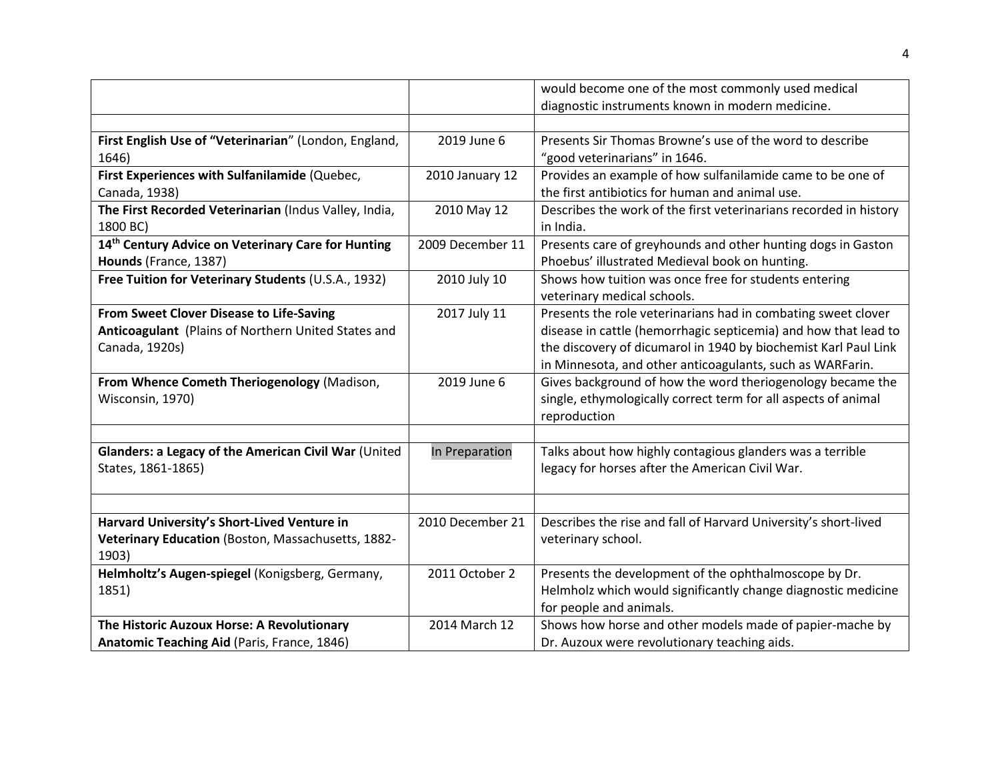|                                                       |                  | would become one of the most commonly used medical                |
|-------------------------------------------------------|------------------|-------------------------------------------------------------------|
|                                                       |                  | diagnostic instruments known in modern medicine.                  |
|                                                       |                  |                                                                   |
| First English Use of "Veterinarian" (London, England, | 2019 June 6      | Presents Sir Thomas Browne's use of the word to describe          |
| 1646)                                                 |                  | "good veterinarians" in 1646.                                     |
| First Experiences with Sulfanilamide (Quebec,         | 2010 January 12  | Provides an example of how sulfanilamide came to be one of        |
| Canada, 1938)                                         |                  | the first antibiotics for human and animal use.                   |
| The First Recorded Veterinarian (Indus Valley, India, | 2010 May 12      | Describes the work of the first veterinarians recorded in history |
| 1800 BC)                                              |                  | in India.                                                         |
| 14th Century Advice on Veterinary Care for Hunting    | 2009 December 11 | Presents care of greyhounds and other hunting dogs in Gaston      |
| Hounds (France, 1387)                                 |                  | Phoebus' illustrated Medieval book on hunting.                    |
| Free Tuition for Veterinary Students (U.S.A., 1932)   | 2010 July 10     | Shows how tuition was once free for students entering             |
|                                                       |                  | veterinary medical schools.                                       |
| From Sweet Clover Disease to Life-Saving              | 2017 July 11     | Presents the role veterinarians had in combating sweet clover     |
| Anticoagulant (Plains of Northern United States and   |                  | disease in cattle (hemorrhagic septicemia) and how that lead to   |
| Canada, 1920s)                                        |                  | the discovery of dicumarol in 1940 by biochemist Karl Paul Link   |
|                                                       |                  | in Minnesota, and other anticoagulants, such as WARFarin.         |
| From Whence Cometh Theriogenology (Madison,           | 2019 June 6      | Gives background of how the word theriogenology became the        |
| Wisconsin, 1970)                                      |                  | single, ethymologically correct term for all aspects of animal    |
|                                                       |                  | reproduction                                                      |
|                                                       |                  |                                                                   |
| Glanders: a Legacy of the American Civil War (United  | In Preparation   | Talks about how highly contagious glanders was a terrible         |
| States, 1861-1865)                                    |                  | legacy for horses after the American Civil War.                   |
|                                                       |                  |                                                                   |
|                                                       |                  |                                                                   |
| Harvard University's Short-Lived Venture in           | 2010 December 21 | Describes the rise and fall of Harvard University's short-lived   |
| Veterinary Education (Boston, Massachusetts, 1882-    |                  | veterinary school.                                                |
| 1903)                                                 |                  |                                                                   |
| Helmholtz's Augen-spiegel (Konigsberg, Germany,       | 2011 October 2   | Presents the development of the ophthalmoscope by Dr.             |
| 1851)                                                 |                  | Helmholz which would significantly change diagnostic medicine     |
|                                                       |                  | for people and animals.                                           |
| The Historic Auzoux Horse: A Revolutionary            | 2014 March 12    | Shows how horse and other models made of papier-mache by          |
| Anatomic Teaching Aid (Paris, France, 1846)           |                  | Dr. Auzoux were revolutionary teaching aids.                      |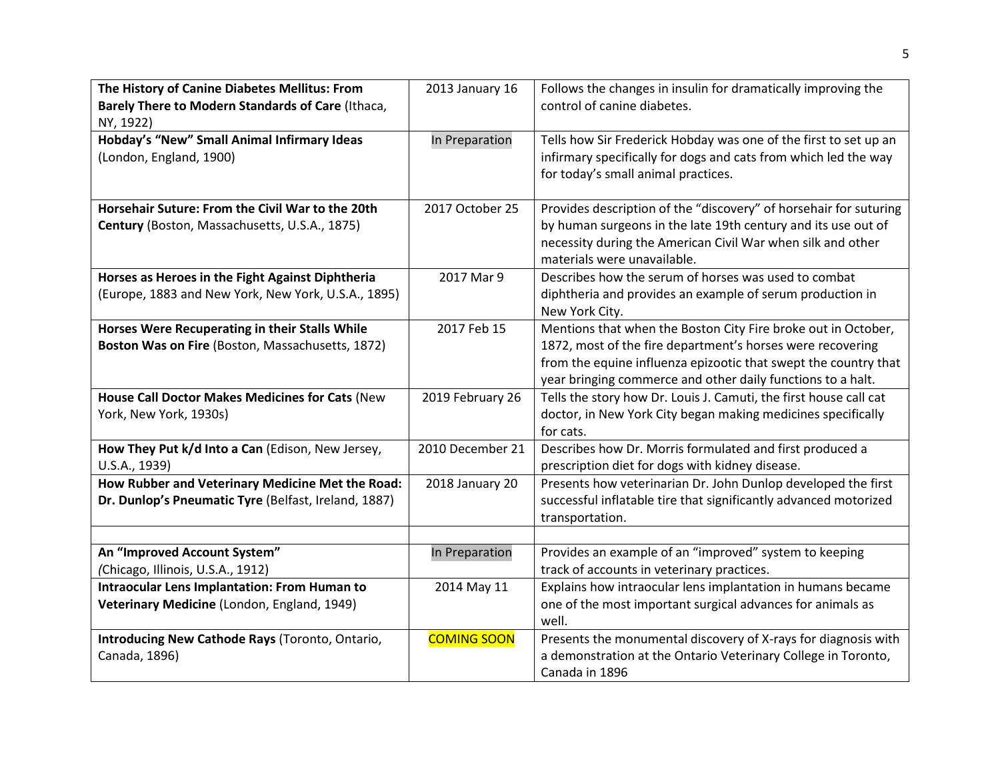| The History of Canine Diabetes Mellitus: From<br>Barely There to Modern Standards of Care (Ithaca,<br>NY, 1922) | 2013 January 16    | Follows the changes in insulin for dramatically improving the<br>control of canine diabetes.                                                                                                                                                                  |
|-----------------------------------------------------------------------------------------------------------------|--------------------|---------------------------------------------------------------------------------------------------------------------------------------------------------------------------------------------------------------------------------------------------------------|
| Hobday's "New" Small Animal Infirmary Ideas<br>(London, England, 1900)                                          | In Preparation     | Tells how Sir Frederick Hobday was one of the first to set up an<br>infirmary specifically for dogs and cats from which led the way<br>for today's small animal practices.                                                                                    |
| Horsehair Suture: From the Civil War to the 20th<br>Century (Boston, Massachusetts, U.S.A., 1875)               | 2017 October 25    | Provides description of the "discovery" of horsehair for suturing<br>by human surgeons in the late 19th century and its use out of<br>necessity during the American Civil War when silk and other<br>materials were unavailable.                              |
| Horses as Heroes in the Fight Against Diphtheria<br>(Europe, 1883 and New York, New York, U.S.A., 1895)         | 2017 Mar 9         | Describes how the serum of horses was used to combat<br>diphtheria and provides an example of serum production in<br>New York City.                                                                                                                           |
| Horses Were Recuperating in their Stalls While<br>Boston Was on Fire (Boston, Massachusetts, 1872)              | 2017 Feb 15        | Mentions that when the Boston City Fire broke out in October,<br>1872, most of the fire department's horses were recovering<br>from the equine influenza epizootic that swept the country that<br>year bringing commerce and other daily functions to a halt. |
| House Call Doctor Makes Medicines for Cats (New<br>York, New York, 1930s)                                       | 2019 February 26   | Tells the story how Dr. Louis J. Camuti, the first house call cat<br>doctor, in New York City began making medicines specifically<br>for cats.                                                                                                                |
| How They Put k/d Into a Can (Edison, New Jersey,<br>U.S.A., 1939)                                               | 2010 December 21   | Describes how Dr. Morris formulated and first produced a<br>prescription diet for dogs with kidney disease.                                                                                                                                                   |
| How Rubber and Veterinary Medicine Met the Road:<br>Dr. Dunlop's Pneumatic Tyre (Belfast, Ireland, 1887)        | 2018 January 20    | Presents how veterinarian Dr. John Dunlop developed the first<br>successful inflatable tire that significantly advanced motorized<br>transportation.                                                                                                          |
|                                                                                                                 |                    |                                                                                                                                                                                                                                                               |
| An "Improved Account System"<br>(Chicago, Illinois, U.S.A., 1912)                                               | In Preparation     | Provides an example of an "improved" system to keeping<br>track of accounts in veterinary practices.                                                                                                                                                          |
| <b>Intraocular Lens Implantation: From Human to</b><br>Veterinary Medicine (London, England, 1949)              | 2014 May 11        | Explains how intraocular lens implantation in humans became<br>one of the most important surgical advances for animals as<br>well.                                                                                                                            |
| Introducing New Cathode Rays (Toronto, Ontario,<br>Canada, 1896)                                                | <b>COMING SOON</b> | Presents the monumental discovery of X-rays for diagnosis with<br>a demonstration at the Ontario Veterinary College in Toronto,<br>Canada in 1896                                                                                                             |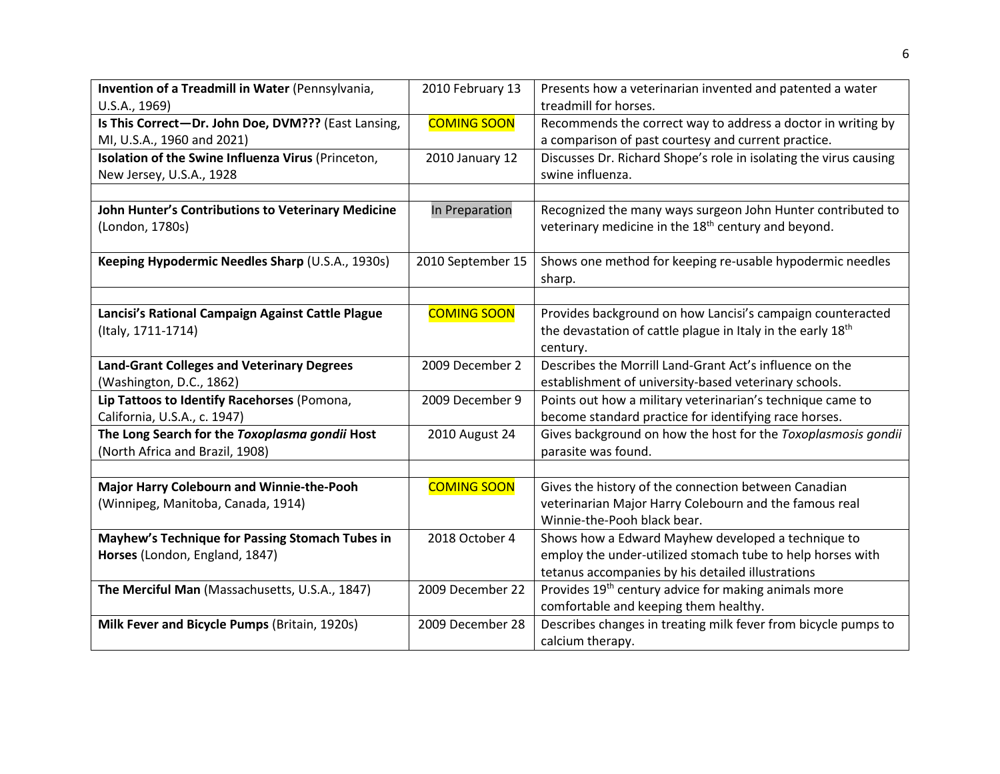| Invention of a Treadmill in Water (Pennsylvania,    | 2010 February 13   | Presents how a veterinarian invented and patented a water         |
|-----------------------------------------------------|--------------------|-------------------------------------------------------------------|
| U.S.A., 1969)                                       |                    | treadmill for horses.                                             |
| Is This Correct-Dr. John Doe, DVM??? (East Lansing, | <b>COMING SOON</b> | Recommends the correct way to address a doctor in writing by      |
| MI, U.S.A., 1960 and 2021)                          |                    | a comparison of past courtesy and current practice.               |
| Isolation of the Swine Influenza Virus (Princeton,  | 2010 January 12    | Discusses Dr. Richard Shope's role in isolating the virus causing |
| New Jersey, U.S.A., 1928                            |                    | swine influenza.                                                  |
|                                                     |                    |                                                                   |
| John Hunter's Contributions to Veterinary Medicine  | In Preparation     | Recognized the many ways surgeon John Hunter contributed to       |
| (London, 1780s)                                     |                    | veterinary medicine in the 18 <sup>th</sup> century and beyond.   |
|                                                     |                    |                                                                   |
| Keeping Hypodermic Needles Sharp (U.S.A., 1930s)    | 2010 September 15  | Shows one method for keeping re-usable hypodermic needles         |
|                                                     |                    | sharp.                                                            |
|                                                     |                    |                                                                   |
| Lancisi's Rational Campaign Against Cattle Plague   | <b>COMING SOON</b> | Provides background on how Lancisi's campaign counteracted        |
| (Italy, 1711-1714)                                  |                    | the devastation of cattle plague in Italy in the early 18th       |
|                                                     |                    | century.                                                          |
| <b>Land-Grant Colleges and Veterinary Degrees</b>   | 2009 December 2    | Describes the Morrill Land-Grant Act's influence on the           |
| (Washington, D.C., 1862)                            |                    | establishment of university-based veterinary schools.             |
| Lip Tattoos to Identify Racehorses (Pomona,         | 2009 December 9    | Points out how a military veterinarian's technique came to        |
| California, U.S.A., c. 1947)                        |                    | become standard practice for identifying race horses.             |
| The Long Search for the Toxoplasma gondii Host      | 2010 August 24     | Gives background on how the host for the Toxoplasmosis gondii     |
| (North Africa and Brazil, 1908)                     |                    | parasite was found.                                               |
|                                                     |                    |                                                                   |
| Major Harry Colebourn and Winnie-the-Pooh           | <b>COMING SOON</b> | Gives the history of the connection between Canadian              |
| (Winnipeg, Manitoba, Canada, 1914)                  |                    | veterinarian Major Harry Colebourn and the famous real            |
|                                                     |                    | Winnie-the-Pooh black bear.                                       |
| Mayhew's Technique for Passing Stomach Tubes in     | 2018 October 4     | Shows how a Edward Mayhew developed a technique to                |
| Horses (London, England, 1847)                      |                    | employ the under-utilized stomach tube to help horses with        |
|                                                     |                    | tetanus accompanies by his detailed illustrations                 |
| The Merciful Man (Massachusetts, U.S.A., 1847)      | 2009 December 22   | Provides 19 <sup>th</sup> century advice for making animals more  |
|                                                     |                    | comfortable and keeping them healthy.                             |
| Milk Fever and Bicycle Pumps (Britain, 1920s)       | 2009 December 28   | Describes changes in treating milk fever from bicycle pumps to    |
|                                                     |                    | calcium therapy.                                                  |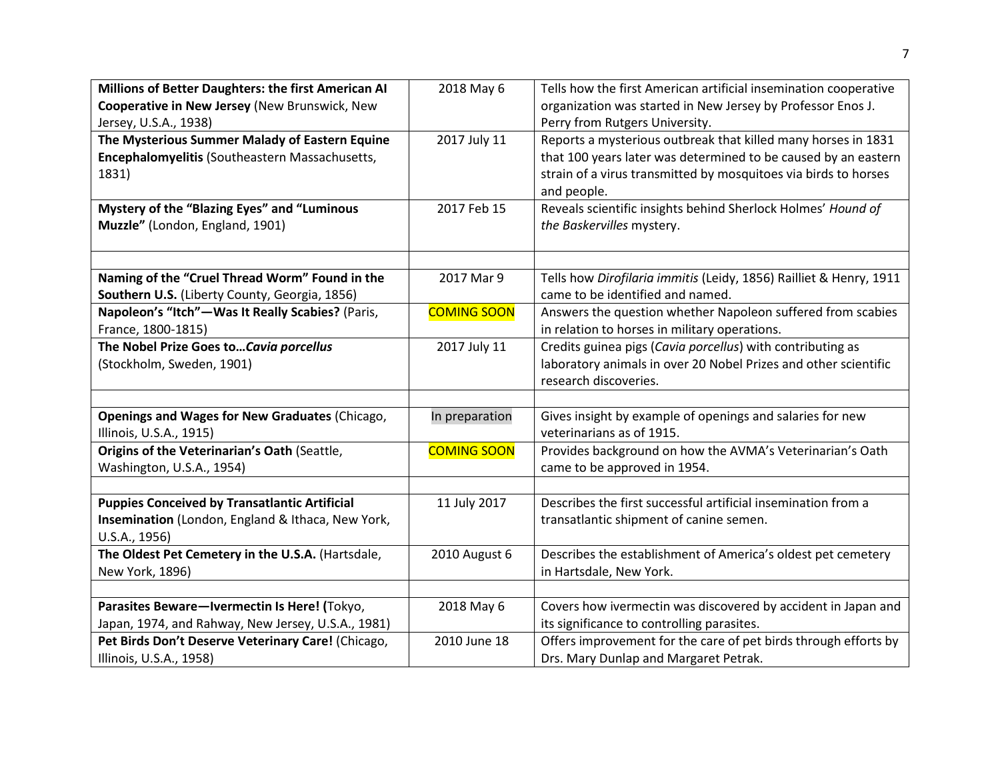| Millions of Better Daughters: the first American AI<br>Cooperative in New Jersey (New Brunswick, New<br>Jersey, U.S.A., 1938)<br>The Mysterious Summer Malady of Eastern Equine<br>Encephalomyelitis (Southeastern Massachusetts,<br>1831)<br>Mystery of the "Blazing Eyes" and "Luminous<br>Muzzle" (London, England, 1901) | 2018 May 6<br>2017 July 11<br>2017 Feb 15 | Tells how the first American artificial insemination cooperative<br>organization was started in New Jersey by Professor Enos J.<br>Perry from Rutgers University.<br>Reports a mysterious outbreak that killed many horses in 1831<br>that 100 years later was determined to be caused by an eastern<br>strain of a virus transmitted by mosquitoes via birds to horses<br>and people.<br>Reveals scientific insights behind Sherlock Holmes' Hound of<br>the Baskervilles mystery. |
|------------------------------------------------------------------------------------------------------------------------------------------------------------------------------------------------------------------------------------------------------------------------------------------------------------------------------|-------------------------------------------|-------------------------------------------------------------------------------------------------------------------------------------------------------------------------------------------------------------------------------------------------------------------------------------------------------------------------------------------------------------------------------------------------------------------------------------------------------------------------------------|
|                                                                                                                                                                                                                                                                                                                              |                                           |                                                                                                                                                                                                                                                                                                                                                                                                                                                                                     |
| Naming of the "Cruel Thread Worm" Found in the<br>Southern U.S. (Liberty County, Georgia, 1856)                                                                                                                                                                                                                              | 2017 Mar 9                                | Tells how Dirofilaria immitis (Leidy, 1856) Railliet & Henry, 1911<br>came to be identified and named.                                                                                                                                                                                                                                                                                                                                                                              |
| Napoleon's "Itch"-Was It Really Scabies? (Paris,<br>France, 1800-1815)                                                                                                                                                                                                                                                       | <b>COMING SOON</b>                        | Answers the question whether Napoleon suffered from scabies<br>in relation to horses in military operations.                                                                                                                                                                                                                                                                                                                                                                        |
| The Nobel Prize Goes to Cavia porcellus<br>(Stockholm, Sweden, 1901)                                                                                                                                                                                                                                                         | 2017 July 11                              | Credits guinea pigs (Cavia porcellus) with contributing as<br>laboratory animals in over 20 Nobel Prizes and other scientific<br>research discoveries.                                                                                                                                                                                                                                                                                                                              |
|                                                                                                                                                                                                                                                                                                                              |                                           |                                                                                                                                                                                                                                                                                                                                                                                                                                                                                     |
| Openings and Wages for New Graduates (Chicago,<br>Illinois, U.S.A., 1915)                                                                                                                                                                                                                                                    | In preparation                            | Gives insight by example of openings and salaries for new<br>veterinarians as of 1915.                                                                                                                                                                                                                                                                                                                                                                                              |
| Origins of the Veterinarian's Oath (Seattle,<br>Washington, U.S.A., 1954)                                                                                                                                                                                                                                                    | <b>COMING SOON</b>                        | Provides background on how the AVMA's Veterinarian's Oath<br>came to be approved in 1954.                                                                                                                                                                                                                                                                                                                                                                                           |
|                                                                                                                                                                                                                                                                                                                              |                                           |                                                                                                                                                                                                                                                                                                                                                                                                                                                                                     |
| <b>Puppies Conceived by Transatlantic Artificial</b><br>Insemination (London, England & Ithaca, New York,<br>U.S.A., 1956)                                                                                                                                                                                                   | 11 July 2017                              | Describes the first successful artificial insemination from a<br>transatlantic shipment of canine semen.                                                                                                                                                                                                                                                                                                                                                                            |
| The Oldest Pet Cemetery in the U.S.A. (Hartsdale,<br>New York, 1896)                                                                                                                                                                                                                                                         | 2010 August 6                             | Describes the establishment of America's oldest pet cemetery<br>in Hartsdale, New York.                                                                                                                                                                                                                                                                                                                                                                                             |
|                                                                                                                                                                                                                                                                                                                              |                                           |                                                                                                                                                                                                                                                                                                                                                                                                                                                                                     |
| Parasites Beware-Ivermectin Is Here! (Tokyo,                                                                                                                                                                                                                                                                                 | 2018 May 6                                | Covers how ivermectin was discovered by accident in Japan and                                                                                                                                                                                                                                                                                                                                                                                                                       |
| Japan, 1974, and Rahway, New Jersey, U.S.A., 1981)                                                                                                                                                                                                                                                                           |                                           | its significance to controlling parasites.                                                                                                                                                                                                                                                                                                                                                                                                                                          |
| Pet Birds Don't Deserve Veterinary Care! (Chicago,<br>Illinois, U.S.A., 1958)                                                                                                                                                                                                                                                | 2010 June 18                              | Offers improvement for the care of pet birds through efforts by<br>Drs. Mary Dunlap and Margaret Petrak.                                                                                                                                                                                                                                                                                                                                                                            |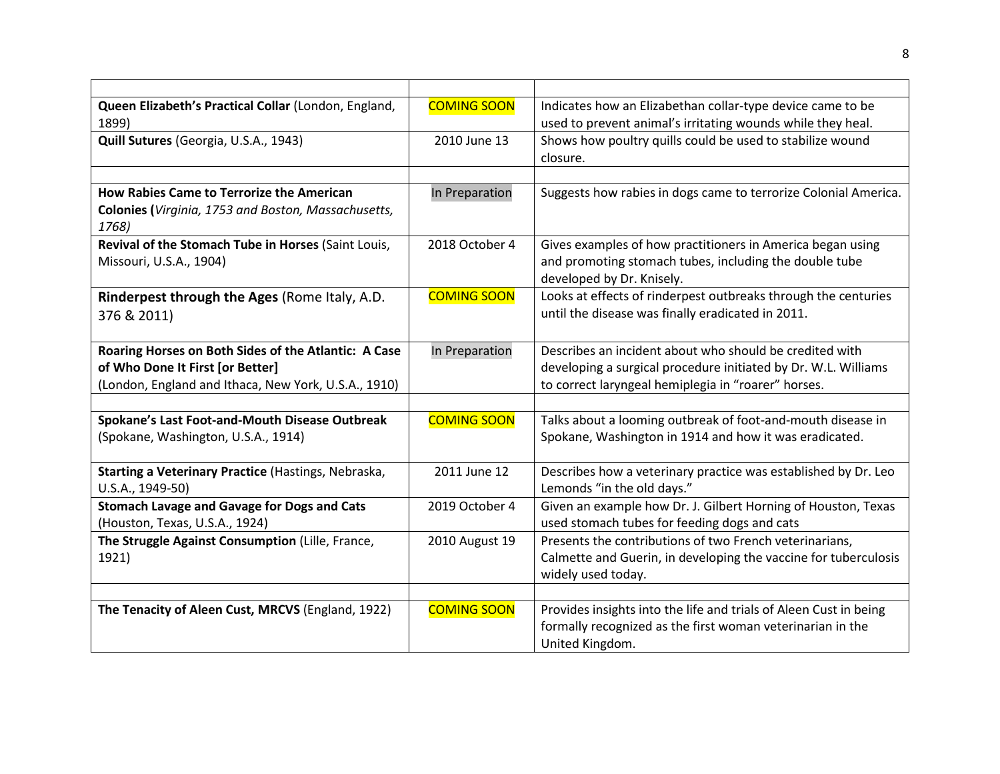| Queen Elizabeth's Practical Collar (London, England,<br>1899) | <b>COMING SOON</b> | Indicates how an Elizabethan collar-type device came to be<br>used to prevent animal's irritating wounds while they heal. |
|---------------------------------------------------------------|--------------------|---------------------------------------------------------------------------------------------------------------------------|
| Quill Sutures (Georgia, U.S.A., 1943)                         | 2010 June 13       | Shows how poultry quills could be used to stabilize wound<br>closure.                                                     |
|                                                               |                    |                                                                                                                           |
| How Rabies Came to Terrorize the American                     | In Preparation     | Suggests how rabies in dogs came to terrorize Colonial America.                                                           |
| Colonies (Virginia, 1753 and Boston, Massachusetts,<br>1768)  |                    |                                                                                                                           |
| Revival of the Stomach Tube in Horses (Saint Louis,           | 2018 October 4     | Gives examples of how practitioners in America began using                                                                |
| Missouri, U.S.A., 1904)                                       |                    | and promoting stomach tubes, including the double tube<br>developed by Dr. Knisely.                                       |
| Rinderpest through the Ages (Rome Italy, A.D.                 | <b>COMING SOON</b> | Looks at effects of rinderpest outbreaks through the centuries                                                            |
| 376 & 2011)                                                   |                    | until the disease was finally eradicated in 2011.                                                                         |
| Roaring Horses on Both Sides of the Atlantic: A Case          | In Preparation     | Describes an incident about who should be credited with                                                                   |
| of Who Done It First [or Better]                              |                    | developing a surgical procedure initiated by Dr. W.L. Williams                                                            |
| (London, England and Ithaca, New York, U.S.A., 1910)          |                    | to correct laryngeal hemiplegia in "roarer" horses.                                                                       |
|                                                               |                    |                                                                                                                           |
| Spokane's Last Foot-and-Mouth Disease Outbreak                | <b>COMING SOON</b> | Talks about a looming outbreak of foot-and-mouth disease in                                                               |
| (Spokane, Washington, U.S.A., 1914)                           |                    | Spokane, Washington in 1914 and how it was eradicated.                                                                    |
| Starting a Veterinary Practice (Hastings, Nebraska,           | 2011 June 12       | Describes how a veterinary practice was established by Dr. Leo                                                            |
| U.S.A., 1949-50)                                              |                    | Lemonds "in the old days."                                                                                                |
| <b>Stomach Lavage and Gavage for Dogs and Cats</b>            | 2019 October 4     | Given an example how Dr. J. Gilbert Horning of Houston, Texas                                                             |
| (Houston, Texas, U.S.A., 1924)                                |                    | used stomach tubes for feeding dogs and cats                                                                              |
| The Struggle Against Consumption (Lille, France,              | 2010 August 19     | Presents the contributions of two French veterinarians,                                                                   |
| 1921)                                                         |                    | Calmette and Guerin, in developing the vaccine for tuberculosis                                                           |
|                                                               |                    | widely used today.                                                                                                        |
|                                                               |                    |                                                                                                                           |
| The Tenacity of Aleen Cust, MRCVS (England, 1922)             | <b>COMING SOON</b> | Provides insights into the life and trials of Aleen Cust in being                                                         |
|                                                               |                    | formally recognized as the first woman veterinarian in the                                                                |
|                                                               |                    | United Kingdom.                                                                                                           |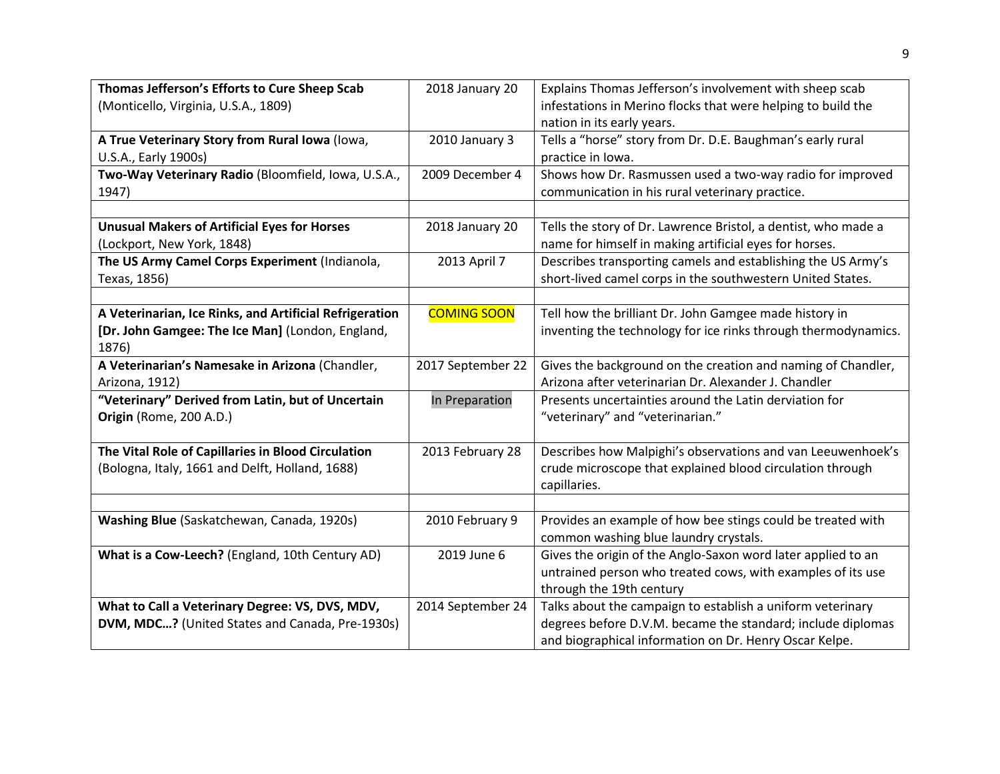| Thomas Jefferson's Efforts to Cure Sheep Scab<br>(Monticello, Virginia, U.S.A., 1809)                 | 2018 January 20    | Explains Thomas Jefferson's involvement with sheep scab<br>infestations in Merino flocks that were helping to build the<br>nation in its early years.                               |
|-------------------------------------------------------------------------------------------------------|--------------------|-------------------------------------------------------------------------------------------------------------------------------------------------------------------------------------|
| A True Veterinary Story from Rural Iowa (Iowa,<br>U.S.A., Early 1900s)                                | 2010 January 3     | Tells a "horse" story from Dr. D.E. Baughman's early rural<br>practice in Iowa.                                                                                                     |
| Two-Way Veterinary Radio (Bloomfield, Iowa, U.S.A.,<br>1947)                                          | 2009 December 4    | Shows how Dr. Rasmussen used a two-way radio for improved<br>communication in his rural veterinary practice.                                                                        |
|                                                                                                       |                    |                                                                                                                                                                                     |
| <b>Unusual Makers of Artificial Eyes for Horses</b><br>(Lockport, New York, 1848)                     | 2018 January 20    | Tells the story of Dr. Lawrence Bristol, a dentist, who made a<br>name for himself in making artificial eyes for horses.                                                            |
| The US Army Camel Corps Experiment (Indianola,<br>Texas, 1856)                                        | 2013 April 7       | Describes transporting camels and establishing the US Army's<br>short-lived camel corps in the southwestern United States.                                                          |
|                                                                                                       |                    |                                                                                                                                                                                     |
| A Veterinarian, Ice Rinks, and Artificial Refrigeration                                               | <b>COMING SOON</b> | Tell how the brilliant Dr. John Gamgee made history in                                                                                                                              |
| [Dr. John Gamgee: The Ice Man] (London, England,<br>1876)                                             |                    | inventing the technology for ice rinks through thermodynamics.                                                                                                                      |
| A Veterinarian's Namesake in Arizona (Chandler,<br>Arizona, 1912)                                     | 2017 September 22  | Gives the background on the creation and naming of Chandler,<br>Arizona after veterinarian Dr. Alexander J. Chandler                                                                |
| "Veterinary" Derived from Latin, but of Uncertain                                                     | In Preparation     | Presents uncertainties around the Latin derviation for                                                                                                                              |
| Origin (Rome, 200 A.D.)                                                                               |                    | "veterinary" and "veterinarian."                                                                                                                                                    |
| The Vital Role of Capillaries in Blood Circulation<br>(Bologna, Italy, 1661 and Delft, Holland, 1688) | 2013 February 28   | Describes how Malpighi's observations and van Leeuwenhoek's<br>crude microscope that explained blood circulation through<br>capillaries.                                            |
|                                                                                                       |                    |                                                                                                                                                                                     |
| Washing Blue (Saskatchewan, Canada, 1920s)                                                            | 2010 February 9    | Provides an example of how bee stings could be treated with<br>common washing blue laundry crystals.                                                                                |
| What is a Cow-Leech? (England, 10th Century AD)                                                       | 2019 June 6        | Gives the origin of the Anglo-Saxon word later applied to an<br>untrained person who treated cows, with examples of its use<br>through the 19th century                             |
| What to Call a Veterinary Degree: VS, DVS, MDV,<br>DVM, MDC? (United States and Canada, Pre-1930s)    | 2014 September 24  | Talks about the campaign to establish a uniform veterinary<br>degrees before D.V.M. became the standard; include diplomas<br>and biographical information on Dr. Henry Oscar Kelpe. |